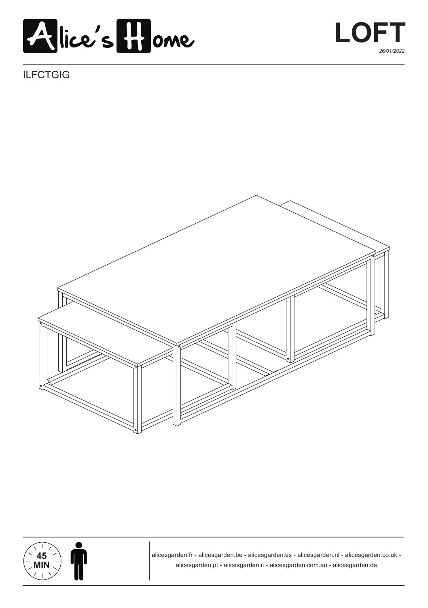



ILFCTGIG





alicesgarden.fr - alicesgarden.be - alicesgarden.es - alicesgarden.nl - alicesgarden.co.uk alicesgarden.pt - alicesgarden.it - alicesgarden.com.au - alicesgarden.de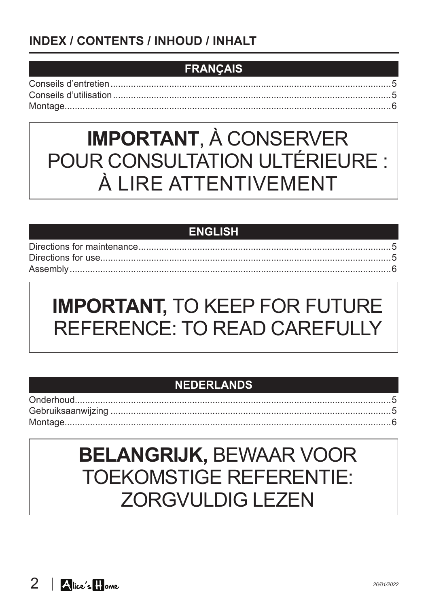### **INDEX / CONTENTS / INHOUD / INHALT**

### **FRANCAIS**

# **IMPORTANT, À CONSERVER** POUR CONSULTATION ULTÉRIEURE : À LIRE ATTENTIVEMENT

### **ENGLISH**

# **IMPORTANT, TO KEEP FOR FUTURE REFERENCE: TO READ CAREFULLY**

### **NEDERLANDS**

### **BELANGRIJK, BEWAAR VOOR TOEKOMSTIGE REFERENTIE: ZORGVULDIG LEZEN**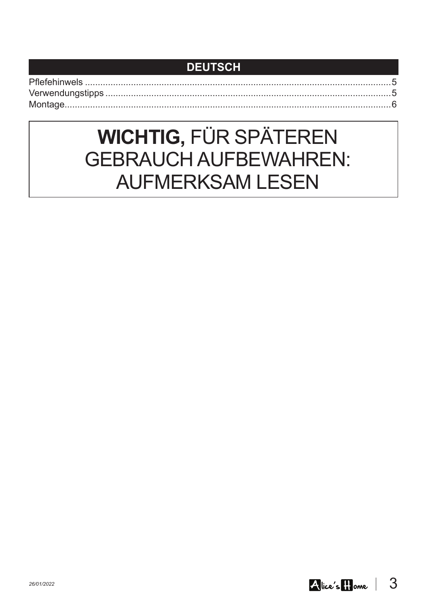### **DEUTSCH**

## **WICHTIG, FÜR SPÄTEREN GEBRAUCH AUFBEWAHREN: AUFMERKSAM LESEN**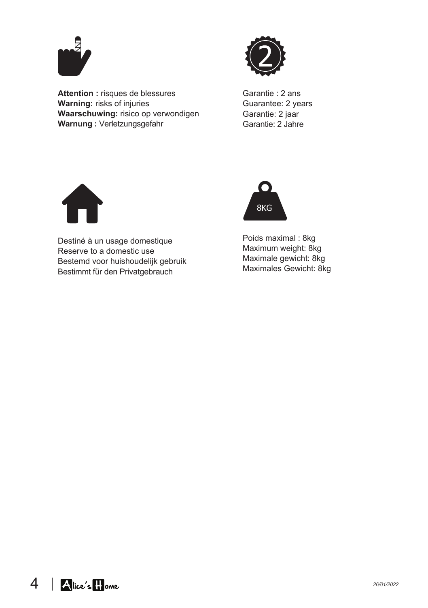

**Attention :** risques de blessures **Warning:** risks of injuries **Waarschuwing:** risico op verwondigen **Warnung :** Verletzungsgefahr



Garantie : 2 ans Guarantee: 2 years Garantie: 2 jaar Garantie: 2 Jahre



Destiné à un usage domestique Reserve to a domestic use Bestemd voor huishoudelijk gebruik Bestimmt für den Privatgebrauch



Poids maximal : 8kg Maximum weight: 8kg Maximale gewicht: 8kg Maximales Gewicht: 8kg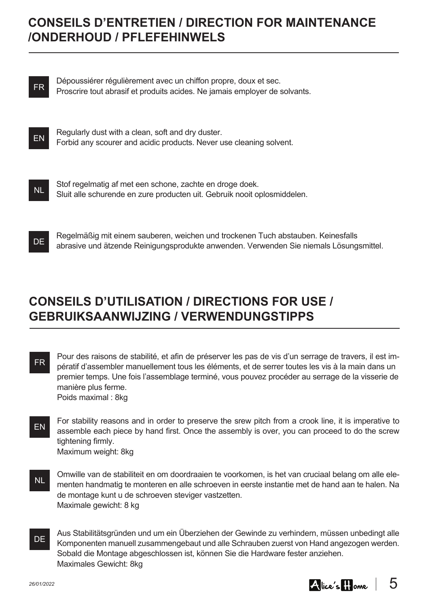### **CONSEILS D'ENTRETIEN / DIRECTION FOR MAINTENANCE /ONDERHOUD / PFLEFEHINWELS**

FR

Dépoussiérer régulièrement avec un chiffon propre, doux et sec. Proscrire tout abrasif et produits acides. Ne jamais employer de solvants.

- **EN** Regularly dust with a clean, soft and dry duster. Forbid any scourer and acidic products. Never use cleaning solvent.
- NL Stof regelmatig af met een schone, zachte en droge doek. Sluit alle schurende en zure producten uit. Gebruik nooit oplosmiddelen.
- DE Regelmäßig mit einem sauberen, weichen und trockenen Tuch abstauben. Keinesfalls abrasive und ätzende Reinigungsprodukte anwenden. Verwenden Sie niemals Lösungsmittel.

### **CONSEILS D'UTILISATION / DIRECTIONS FOR USE / GEBRUIKSAANWIJZING / VERWENDUNGSTIPPS**

- FR Pour des raisons de stabilité, et afin de préserver les pas de vis d'un serrage de travers, il est impératif d'assembler manuellement tous les éléments, et de serrer toutes les vis à la main dans un premier temps. Une fois l'assemblage terminé, vous pouvez procéder au serrage de la visserie de manière plus ferme. Poids maximal : 8kg
- EN For stability reasons and in order to preserve the srew pitch from a crook line, it is imperative to assemble each piece by hand first. Once the assembly is over, you can proceed to do the screw tightening firmly. Maximum weight: 8kg
- NL Omwille van de stabiliteit en om doordraaien te voorkomen, is het van cruciaal belang om alle elementen handmatig te monteren en alle schroeven in eerste instantie met de hand aan te halen. Na de montage kunt u de schroeven steviger vastzetten. Maximale gewicht: 8 kg
- **DE** Aus Stabilitätsgründen und um ein Überziehen der Gewinde zu verhindern, müssen unbedingt alle Komponenten manuell zusammengebaut und alle Schrauben zuerst von Hand angezogen werden. Sobald die Montage abgeschlossen ist, können Sie die Hardware fester anziehen. Maximales Gewicht: 8kg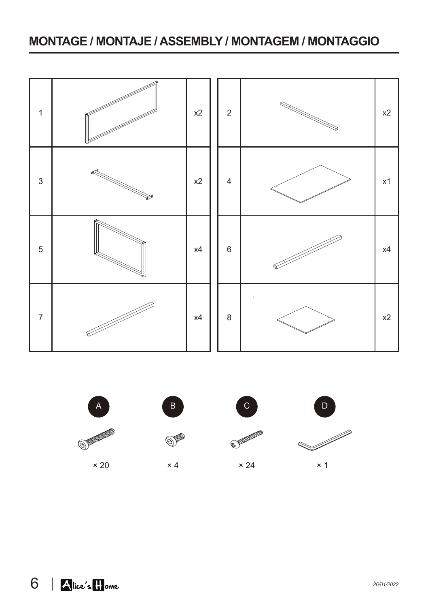### **MONTAGE / MONTAJE / ASSEMBLY / MONTAGEM / MONTAGGIO**



![](_page_5_Picture_2.jpeg)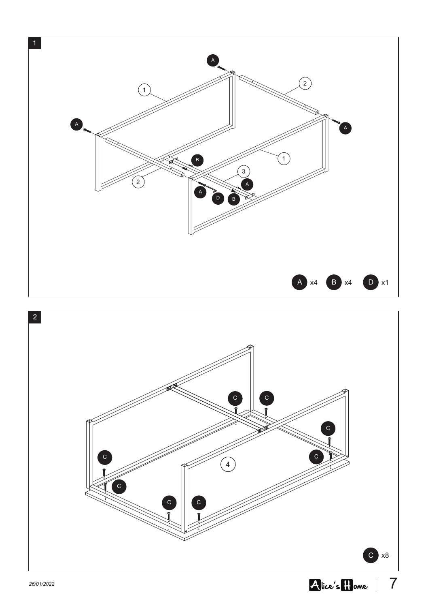![](_page_6_Picture_0.jpeg)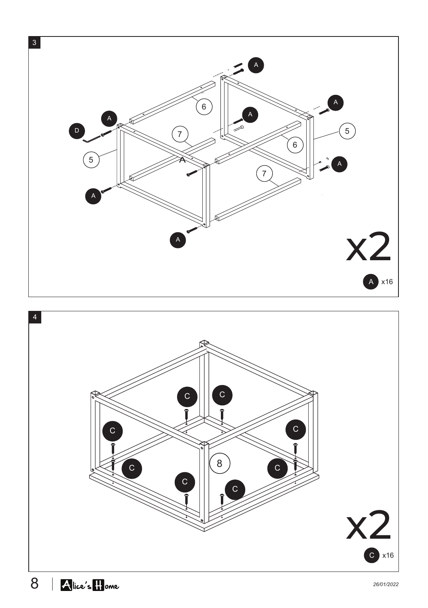![](_page_7_Figure_0.jpeg)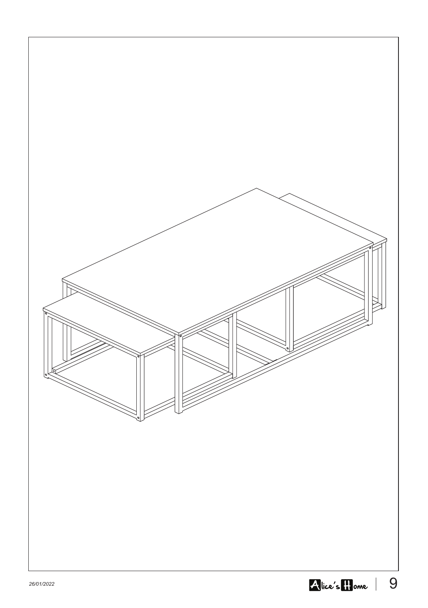![](_page_8_Picture_0.jpeg)